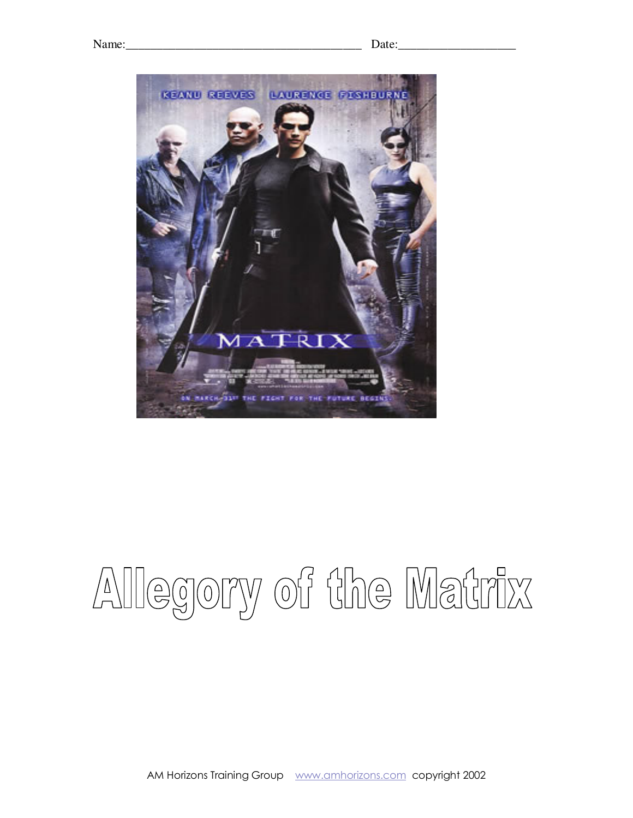

# Allegory of the Matrix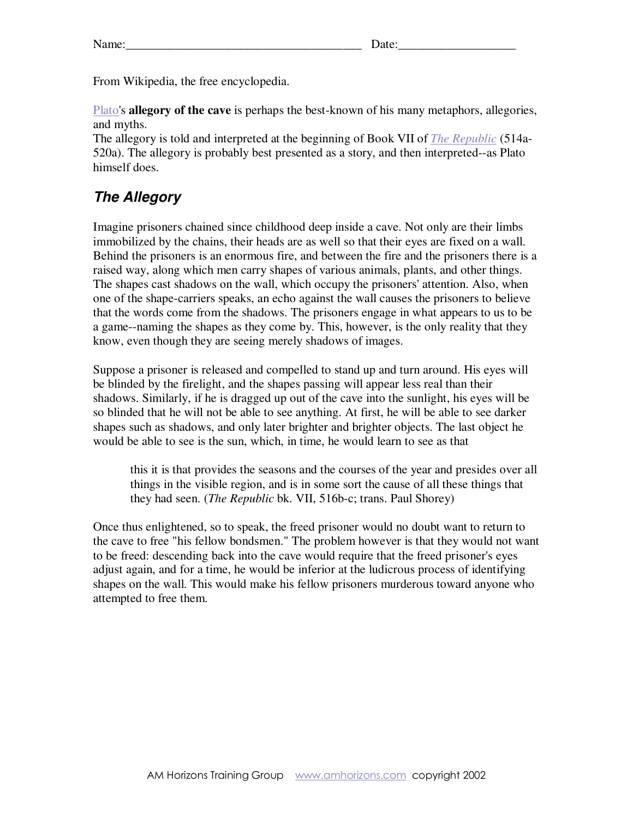From Wikipedia, the free encyclopedia.

Plato's **allegory of the cave** is perhaps the best-known of his many metaphors, allegories, and myths.

The allegory is told and interpreted at the beginning of Book VII of *The Republic* (514a-520a). The allegory is probably best presented as a story, and then interpreted--as Plato himself does.

#### *The Allegory*

Imagine prisoners chained since childhood deep inside a cave. Not only are their limbs immobilized by the chains, their heads are as well so that their eyes are fixed on a wall. Behind the prisoners is an enormous fire, and between the fire and the prisoners there is a raised way, along which men carry shapes of various animals, plants, and other things. The shapes cast shadows on the wall, which occupy the prisoners' attention. Also, when one of the shape-carriers speaks, an echo against the wall causes the prisoners to believe that the words come from the shadows. The prisoners engage in what appears to us to be a game--naming the shapes as they come by. This, however, is the only reality that they know, even though they are seeing merely shadows of images.

Suppose a prisoner is released and compelled to stand up and turn around. His eyes will be blinded by the firelight, and the shapes passing will appear less real than their shadows. Similarly, if he is dragged up out of the cave into the sunlight, his eyes will be so blinded that he will not be able to see anything. At first, he will be able to see darker shapes such as shadows, and only later brighter and brighter objects. The last object he would be able to see is the sun, which, in time, he would learn to see as that

this it is that provides the seasons and the courses of the year and presides over all things in the visible region, and is in some sort the cause of all these things that they had seen. (*The Republic* bk. VII, 516b-c; trans. Paul Shorey)

Once thus enlightened, so to speak, the freed prisoner would no doubt want to return to the cave to free "his fellow bondsmen." The problem however is that they would not want to be freed: descending back into the cave would require that the freed prisoner's eyes adjust again, and for a time, he would be inferior at the ludicrous process of identifying shapes on the wall. This would make his fellow prisoners murderous toward anyone who attempted to free them.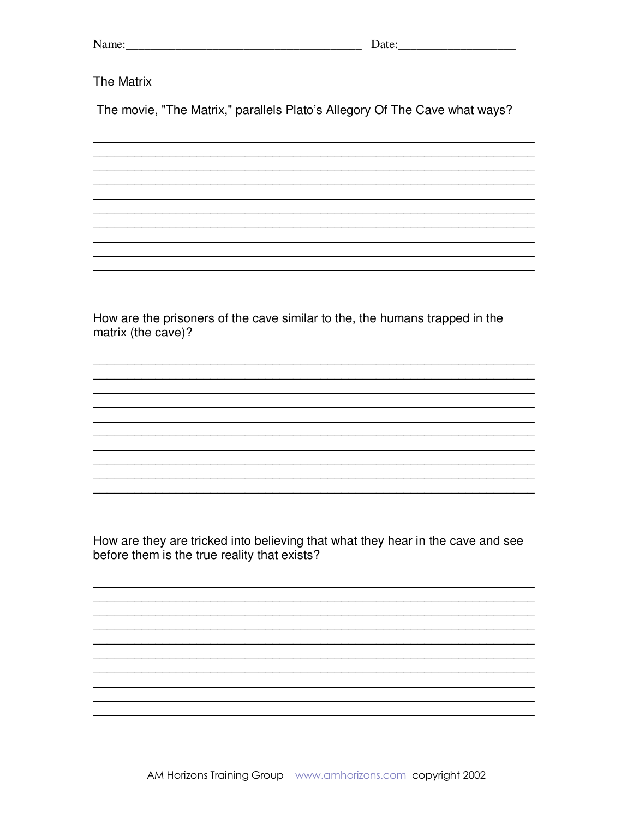| an<br>ıt |  |
|----------|--|

The Matrix

The movie, "The Matrix," parallels Plato's Allegory Of The Cave what ways?

How are the prisoners of the cave similar to the, the humans trapped in the matrix (the cave)?

How are they are tricked into believing that what they hear in the cave and see before them is the true reality that exists?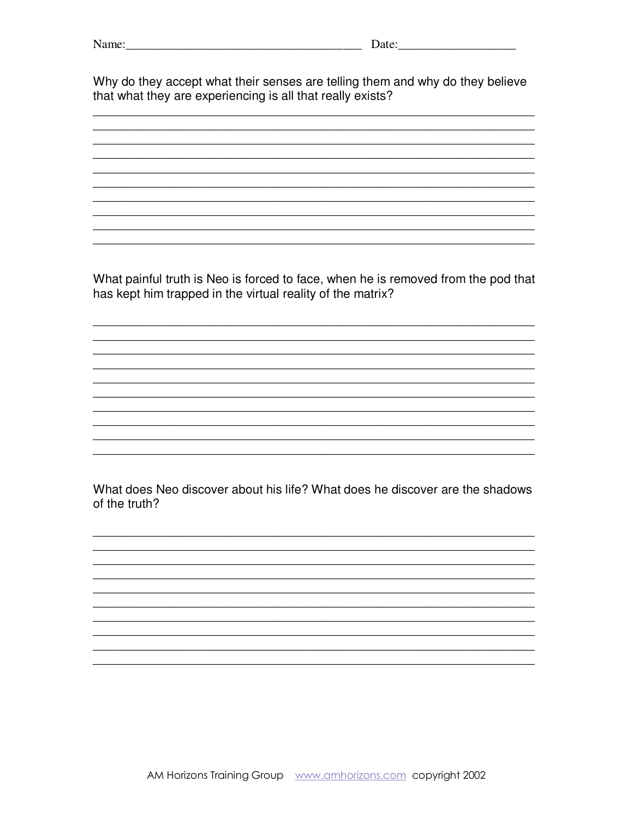| NT.<br>יי<br><b>.</b><br>$- - - - -$ | $\ddotsc$ |
|--------------------------------------|-----------|
|--------------------------------------|-----------|

Why do they accept what their senses are telling them and why do they believe that what they are experiencing is all that really exists?

What painful truth is Neo is forced to face, when he is removed from the pod that has kept him trapped in the virtual reality of the matrix?

What does Neo discover about his life? What does he discover are the shadows of the truth?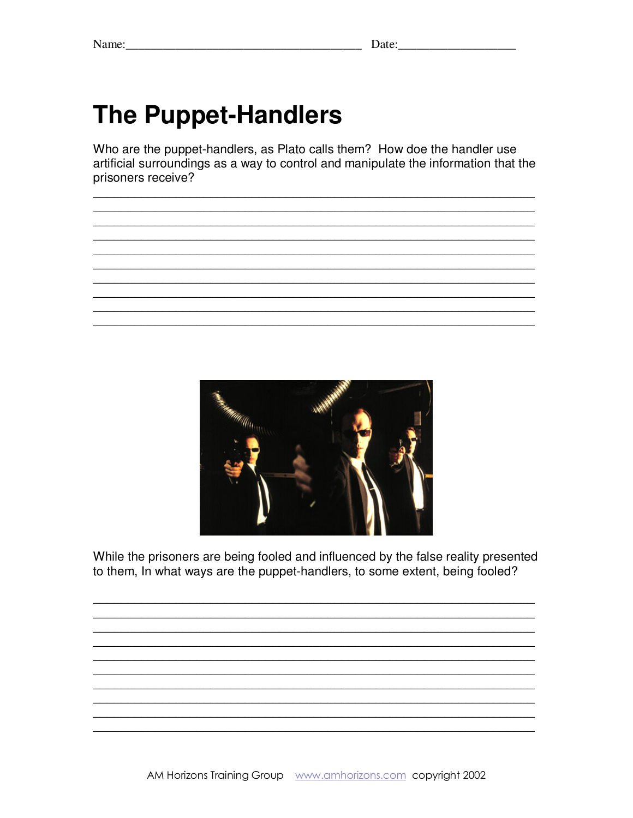## **The Puppet-Handlers**

Who are the puppet-handlers, as Plato calls them? How doe the handler use artificial surroundings as a way to control and manipulate the information that the prisoners receive?



While the prisoners are being fooled and influenced by the false reality presented to them, In what ways are the puppet-handlers, to some extent, being fooled?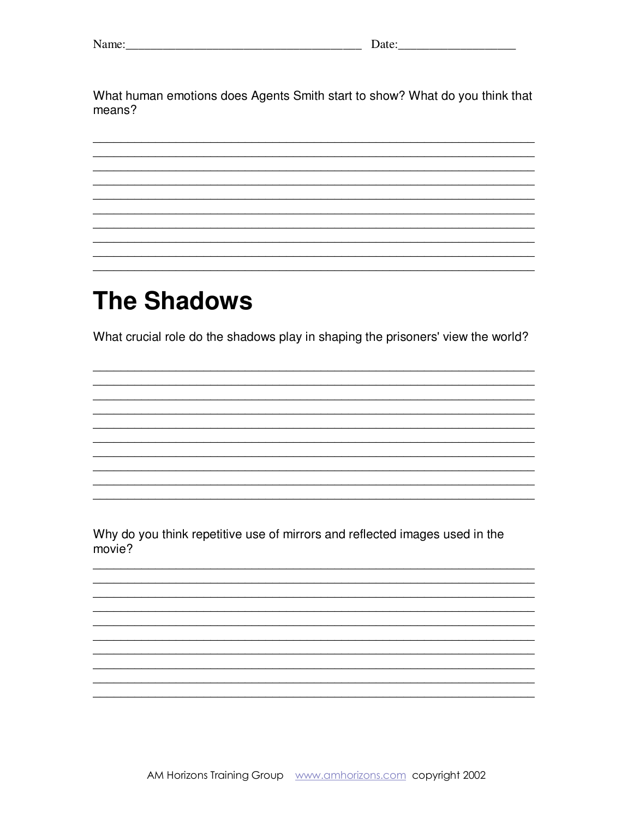What human emotions does Agents Smith start to show? What do you think that means?

#### **The Shadows**

What crucial role do the shadows play in shaping the prisoners' view the world?

Why do you think repetitive use of mirrors and reflected images used in the movie?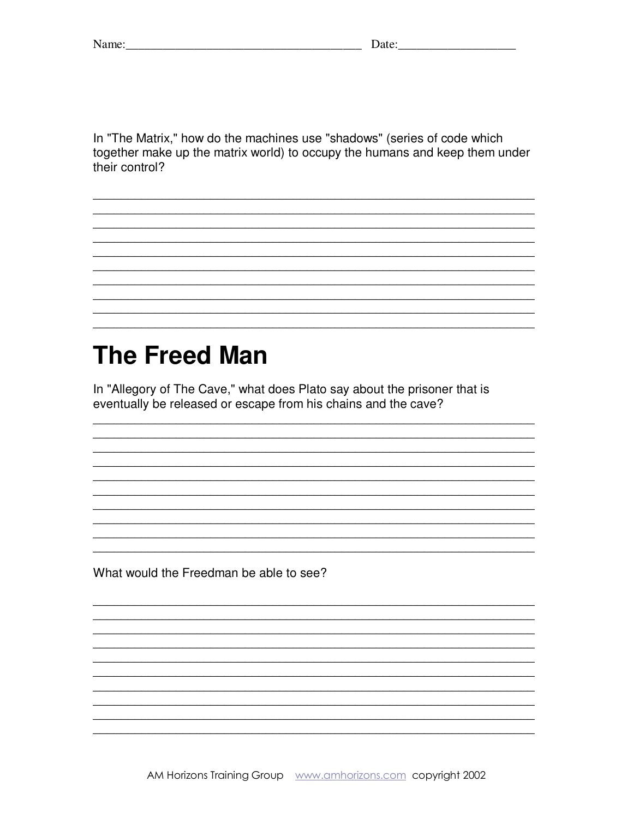In "The Matrix," how do the machines use "shadows" (series of code which together make up the matrix world) to occupy the humans and keep them under their control?

#### **The Freed Man**

In "Allegory of The Cave," what does Plato say about the prisoner that is eventually be released or escape from his chains and the cave?

What would the Freedman be able to see?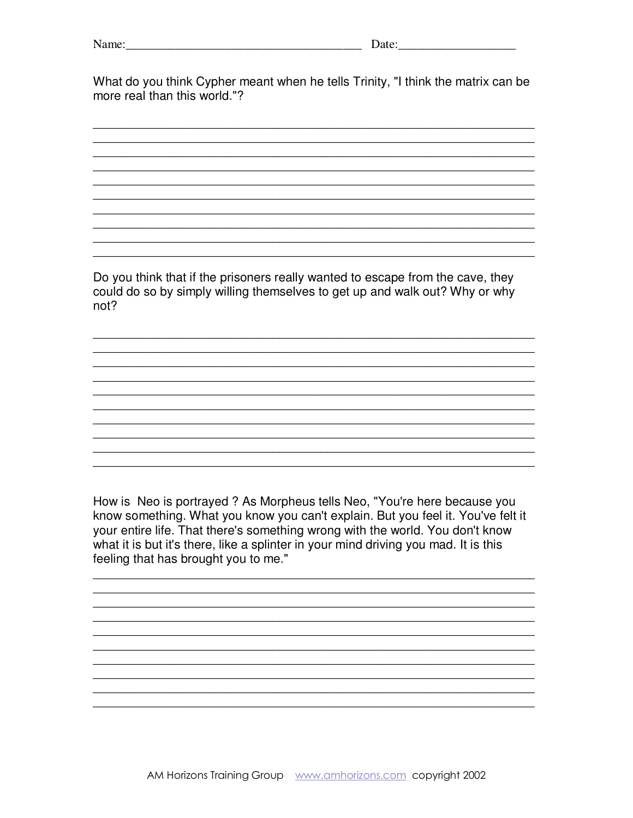What do you think Cypher meant when he tells Trinity, "I think the matrix can be more real than this world."?

Do you think that if the prisoners really wanted to escape from the cave, they could do so by simply willing themselves to get up and walk out? Why or why  $not?$ 

How is Neo is portrayed ? As Morpheus tells Neo, "You're here because you know something. What you know you can't explain. But you feel it. You've felt it your entire life. That there's something wrong with the world. You don't know what it is but it's there, like a splinter in your mind driving you mad. It is this feeling that has brought you to me."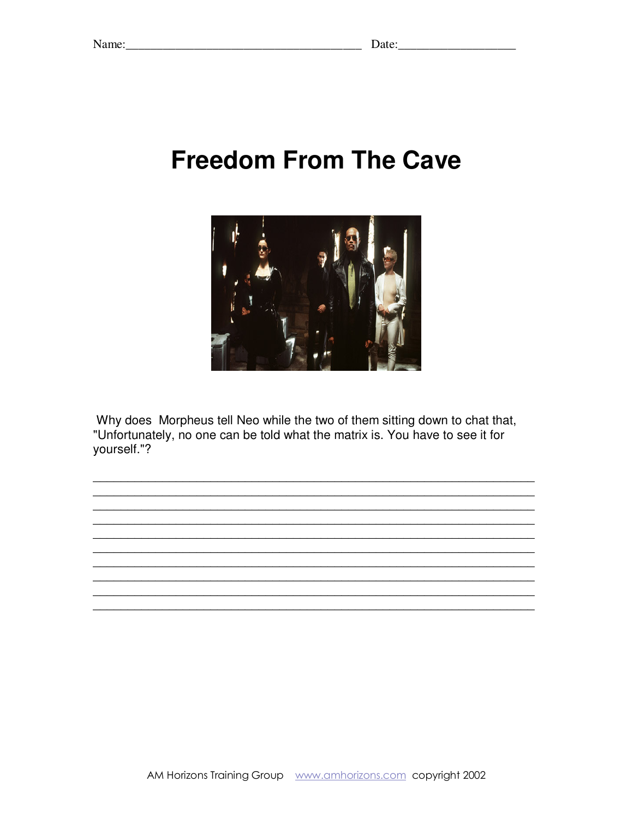#### **Freedom From The Cave**



Why does Morpheus tell Neo while the two of them sitting down to chat that, "Unfortunately, no one can be told what the matrix is. You have to see it for yourself."?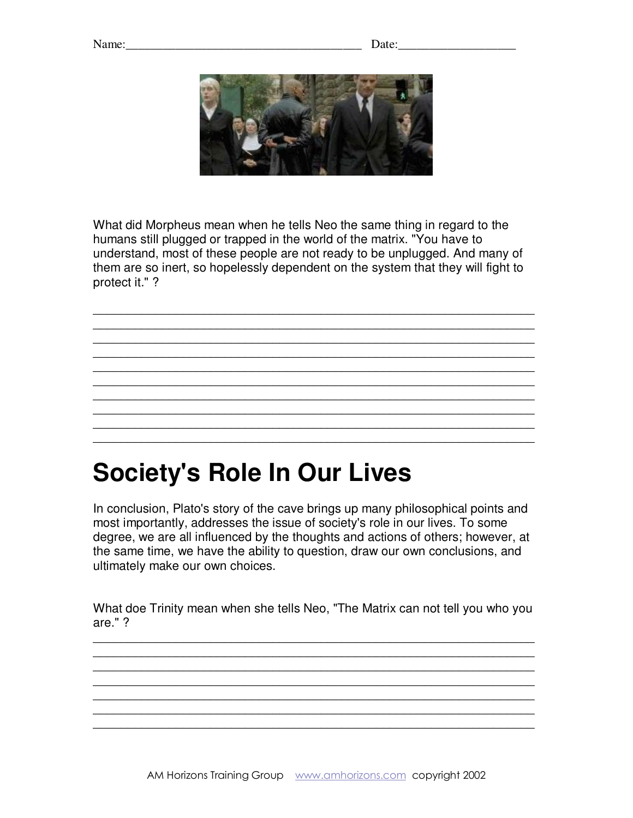

What did Morpheus mean when he tells Neo the same thing in regard to the humans still plugged or trapped in the world of the matrix. "You have to understand, most of these people are not ready to be unplugged. And many of them are so inert, so hopelessly dependent on the system that they will fight to protect it." ?

\_\_\_\_\_\_\_\_\_\_\_\_\_\_\_\_\_\_\_\_\_\_\_\_\_\_\_\_\_\_\_\_\_\_\_\_\_\_\_\_\_\_\_\_\_\_\_\_\_\_\_\_\_\_\_\_\_\_\_\_\_\_\_\_ \_\_\_\_\_\_\_\_\_\_\_\_\_\_\_\_\_\_\_\_\_\_\_\_\_\_\_\_\_\_\_\_\_\_\_\_\_\_\_\_\_\_\_\_\_\_\_\_\_\_\_\_\_\_\_\_\_\_\_\_\_\_\_\_

\_\_\_\_\_\_\_\_\_\_\_\_\_\_\_\_\_\_\_\_\_\_\_\_\_\_\_\_\_\_\_\_\_\_\_\_\_\_\_\_\_\_\_\_\_\_\_\_\_\_\_\_\_\_\_\_\_\_\_\_\_\_\_\_ \_\_\_\_\_\_\_\_\_\_\_\_\_\_\_\_\_\_\_\_\_\_\_\_\_\_\_\_\_\_\_\_\_\_\_\_\_\_\_\_\_\_\_\_\_\_\_\_\_\_\_\_\_\_\_\_\_\_\_\_\_\_\_\_

\_\_\_\_\_\_\_\_\_\_\_\_\_\_\_\_\_\_\_\_\_\_\_\_\_\_\_\_\_\_\_\_\_\_\_\_\_\_\_\_\_\_\_\_\_\_\_\_\_\_\_\_\_\_\_\_\_\_\_\_\_\_\_\_

\_\_\_\_\_\_\_\_\_\_\_\_\_\_\_\_\_\_\_\_\_\_\_\_\_\_\_\_\_\_\_\_\_\_\_\_\_\_\_\_\_\_\_\_\_\_\_\_\_\_\_\_\_\_\_\_\_\_\_\_\_\_\_\_

\_\_\_\_\_\_\_\_\_\_\_\_\_\_\_\_\_\_\_\_\_\_\_\_\_\_\_\_\_\_\_\_\_\_\_\_\_\_\_\_\_\_\_\_\_\_\_\_\_\_\_\_\_\_\_\_\_\_\_\_\_\_\_\_

\_\_\_\_\_\_\_\_\_\_\_\_\_\_\_\_\_\_\_\_\_\_\_\_\_\_\_\_\_\_\_\_\_\_\_\_\_\_\_\_\_\_\_\_\_\_\_\_\_\_\_\_\_\_\_\_\_\_\_\_\_\_\_\_

 $\mathcal{L}_\mathcal{L} = \{ \mathcal{L}_\mathcal{L} = \{ \mathcal{L}_\mathcal{L} = \{ \mathcal{L}_\mathcal{L} = \{ \mathcal{L}_\mathcal{L} = \{ \mathcal{L}_\mathcal{L} = \{ \mathcal{L}_\mathcal{L} = \{ \mathcal{L}_\mathcal{L} = \{ \mathcal{L}_\mathcal{L} = \{ \mathcal{L}_\mathcal{L} = \{ \mathcal{L}_\mathcal{L} = \{ \mathcal{L}_\mathcal{L} = \{ \mathcal{L}_\mathcal{L} = \{ \mathcal{L}_\mathcal{L} = \{ \mathcal{L}_\mathcal{$ 

### **Society's Role In Our Lives**

In conclusion, Plato's story of the cave brings up many philosophical points and most importantly, addresses the issue of society's role in our lives. To some degree, we are all influenced by the thoughts and actions of others; however, at the same time, we have the ability to question, draw our own conclusions, and ultimately make our own choices.

What doe Trinity mean when she tells Neo, "The Matrix can not tell you who you are." ?

\_\_\_\_\_\_\_\_\_\_\_\_\_\_\_\_\_\_\_\_\_\_\_\_\_\_\_\_\_\_\_\_\_\_\_\_\_\_\_\_\_\_\_\_\_\_\_\_\_\_\_\_\_\_\_\_\_\_\_\_\_\_\_\_ \_\_\_\_\_\_\_\_\_\_\_\_\_\_\_\_\_\_\_\_\_\_\_\_\_\_\_\_\_\_\_\_\_\_\_\_\_\_\_\_\_\_\_\_\_\_\_\_\_\_\_\_\_\_\_\_\_\_\_\_\_\_\_\_ \_\_\_\_\_\_\_\_\_\_\_\_\_\_\_\_\_\_\_\_\_\_\_\_\_\_\_\_\_\_\_\_\_\_\_\_\_\_\_\_\_\_\_\_\_\_\_\_\_\_\_\_\_\_\_\_\_\_\_\_\_\_\_\_

\_\_\_\_\_\_\_\_\_\_\_\_\_\_\_\_\_\_\_\_\_\_\_\_\_\_\_\_\_\_\_\_\_\_\_\_\_\_\_\_\_\_\_\_\_\_\_\_\_\_\_\_\_\_\_\_\_\_\_\_\_\_\_\_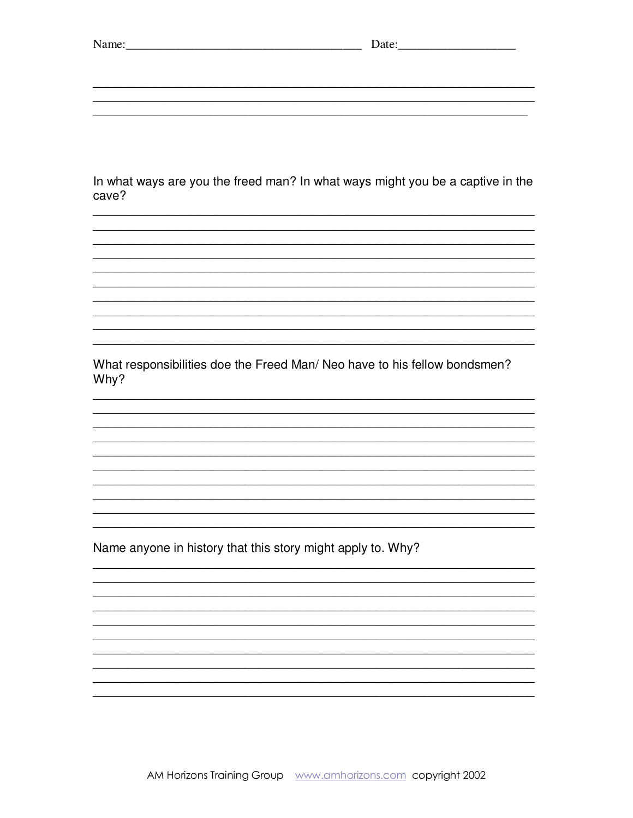In what ways are you the freed man? In what ways might you be a captive in the cave?

What responsibilities doe the Freed Man/ Neo have to his fellow bondsmen? Why?

Name anyone in history that this story might apply to. Why?